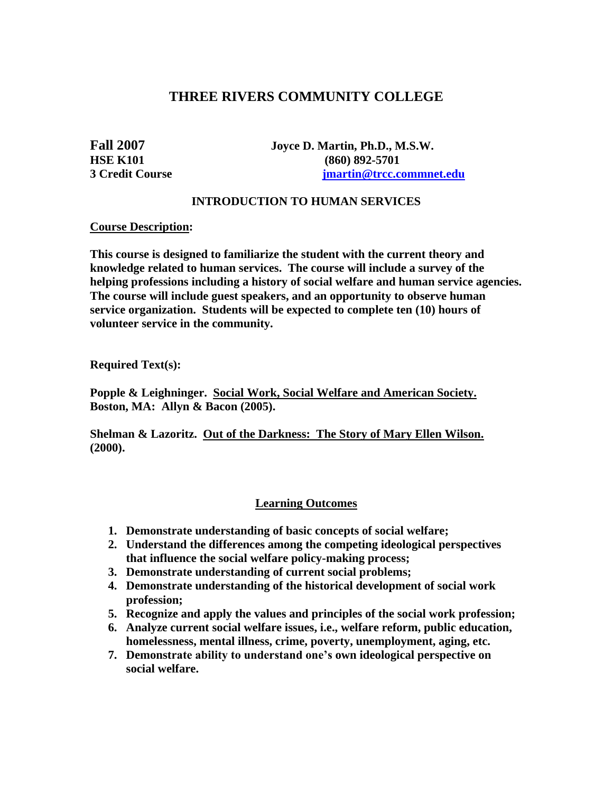# **THREE RIVERS COMMUNITY COLLEGE**

**Fall 2007 Joyce D. Martin, Ph.D., M.S.W. HSE K101** (860) 892-5701 **3 Credit Course [jmartin@trcc.commnet.edu](mailto:jmartin@trcc.commnet.edu)**

### **INTRODUCTION TO HUMAN SERVICES**

#### **Course Description:**

**This course is designed to familiarize the student with the current theory and knowledge related to human services. The course will include a survey of the helping professions including a history of social welfare and human service agencies. The course will include guest speakers, and an opportunity to observe human service organization. Students will be expected to complete ten (10) hours of volunteer service in the community.**

**Required Text(s):**

**Popple & Leighninger. Social Work, Social Welfare and American Society. Boston, MA: Allyn & Bacon (2005).**

**Shelman & Lazoritz. Out of the Darkness: The Story of Mary Ellen Wilson. (2000).**

## **Learning Outcomes**

- **1. Demonstrate understanding of basic concepts of social welfare;**
- **2. Understand the differences among the competing ideological perspectives that influence the social welfare policy-making process;**
- **3. Demonstrate understanding of current social problems;**
- **4. Demonstrate understanding of the historical development of social work profession;**
- **5. Recognize and apply the values and principles of the social work profession;**
- **6. Analyze current social welfare issues, i.e., welfare reform, public education, homelessness, mental illness, crime, poverty, unemployment, aging, etc.**
- **7. Demonstrate ability to understand one's own ideological perspective on social welfare.**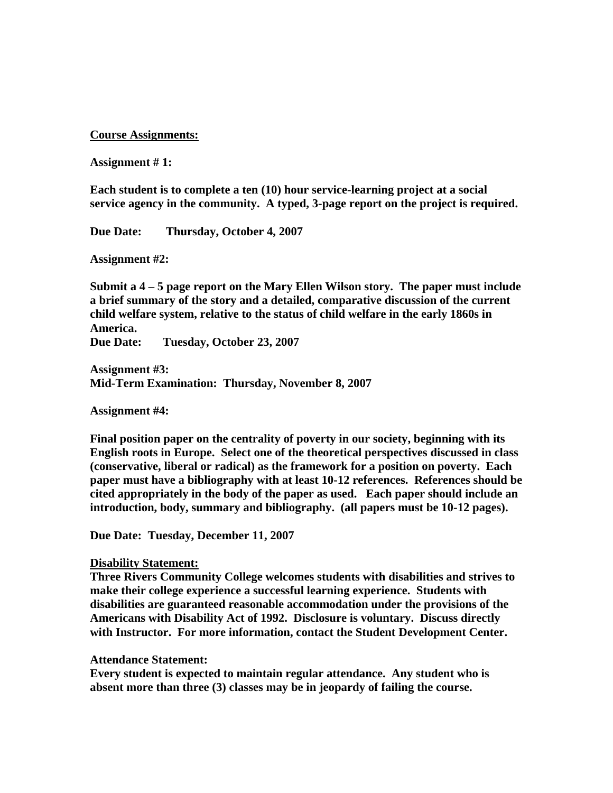#### **Course Assignments:**

#### **Assignment # 1:**

**Each student is to complete a ten (10) hour service-learning project at a social service agency in the community. A typed, 3-page report on the project is required.**

**Due Date: Thursday, October 4, 2007**

**Assignment #2:**

**Submit a 4 – 5 page report on the Mary Ellen Wilson story. The paper must include a brief summary of the story and a detailed, comparative discussion of the current child welfare system, relative to the status of child welfare in the early 1860s in America.** 

**Due Date: Tuesday, October 23, 2007**

**Assignment #3: Mid-Term Examination: Thursday, November 8, 2007**

**Assignment #4:**

**Final position paper on the centrality of poverty in our society, beginning with its English roots in Europe. Select one of the theoretical perspectives discussed in class (conservative, liberal or radical) as the framework for a position on poverty. Each paper must have a bibliography with at least 10-12 references. References should be cited appropriately in the body of the paper as used. Each paper should include an introduction, body, summary and bibliography. (all papers must be 10-12 pages).**

**Due Date: Tuesday, December 11, 2007**

#### **Disability Statement:**

**Three Rivers Community College welcomes students with disabilities and strives to make their college experience a successful learning experience. Students with disabilities are guaranteed reasonable accommodation under the provisions of the Americans with Disability Act of 1992. Disclosure is voluntary. Discuss directly with Instructor. For more information, contact the Student Development Center.**

#### **Attendance Statement:**

**Every student is expected to maintain regular attendance. Any student who is absent more than three (3) classes may be in jeopardy of failing the course.**